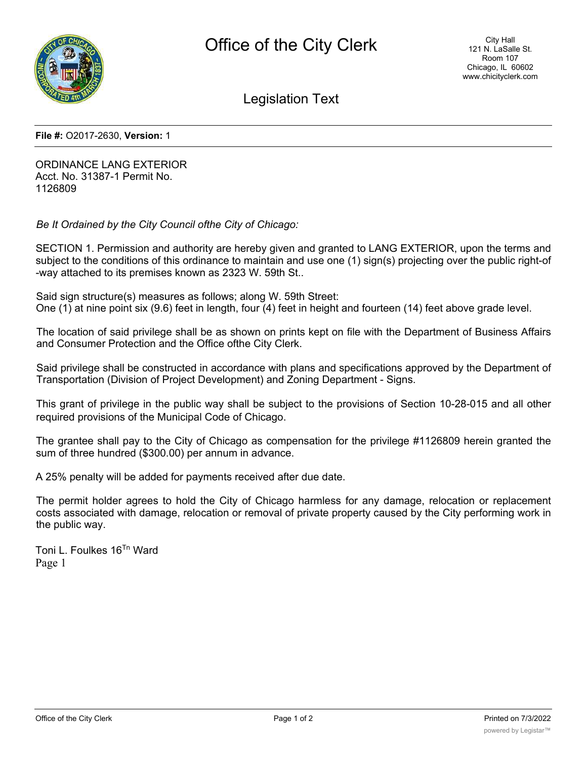

Legislation Text

**File #:** O2017-2630, **Version:** 1

ORDINANCE LANG EXTERIOR Acct. No. 31387-1 Permit No. 1126809

*Be It Ordained by the City Council ofthe City of Chicago:*

SECTION 1. Permission and authority are hereby given and granted to LANG EXTERIOR, upon the terms and subject to the conditions of this ordinance to maintain and use one (1) sign(s) projecting over the public right-of -way attached to its premises known as 2323 W. 59th St..

Said sign structure(s) measures as follows; along W. 59th Street: One (1) at nine point six (9.6) feet in length, four (4) feet in height and fourteen (14) feet above grade level.

The location of said privilege shall be as shown on prints kept on file with the Department of Business Affairs and Consumer Protection and the Office ofthe City Clerk.

Said privilege shall be constructed in accordance with plans and specifications approved by the Department of Transportation (Division of Project Development) and Zoning Department - Signs.

This grant of privilege in the public way shall be subject to the provisions of Section 10-28-015 and all other required provisions of the Municipal Code of Chicago.

The grantee shall pay to the City of Chicago as compensation for the privilege #1126809 herein granted the sum of three hundred (\$300.00) per annum in advance.

A 25% penalty will be added for payments received after due date.

The permit holder agrees to hold the City of Chicago harmless for any damage, relocation or replacement costs associated with damage, relocation or removal of private property caused by the City performing work in the public way.

Toni L. Foulkes 16Tn Ward Page 1